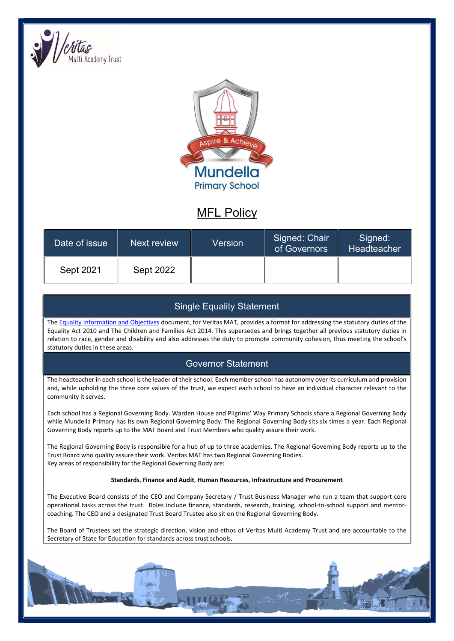



# MFL Policy

| Date of issue | Next review      | Version | Signed: Chair<br>of Governors | Signed:<br>Headteacher |
|---------------|------------------|---------|-------------------------------|------------------------|
| Sept 2021     | <b>Sept 2022</b> |         |                               |                        |

## Single Equality Statement

The Equality Information and Objectives document, for Veritas MAT, provides a format for addressing the statutory duties of the Equality Act 2010 and The Children and Families Act 2014. This supersedes and brings together all previous statutory duties in relation to race, gender and disability and also addresses the duty to promote community cohesion, thus meeting the school's statutory duties in these areas.

## Governor Statement

The headteacher in each school is the leader of their school. Each member school has autonomy over its curriculum and provision and, while upholding the three core values of the trust, we expect each school to have an individual character relevant to the community it serves.

Each school has a Regional Governing Body. Warden House and Pilgrims' Way Primary Schools share a Regional Governing Body while Mundella Primary has its own Regional Governing Body. The Regional Governing Body sits six times a year. Each Regional Governing Body reports up to the MAT Board and Trust Members who quality assure their work.

The Regional Governing Body is responsible for a hub of up to three academies. The Regional Governing Body reports up to the Trust Board who quality assure their work. Veritas MAT has two Regional Governing Bodies. Key areas of responsibility for the Regional Governing Body are:

#### Standards, Finance and Audit, Human Resources, Infrastructure and Procurement

The Executive Board consists of the CEO and Company Secretary / Trust Business Manager who run a team that support core operational tasks across the trust. Roles include finance, standards, research, training, school-to-school support and mentorcoaching. The CEO and a designated Trust Board Trustee also sit on the Regional Governing Body.

The Board of Trustees set the strategic direction, vision and ethos of Veritas Multi Academy Trust and are accountable to the Secretary of State for Education for standards across trust schools.

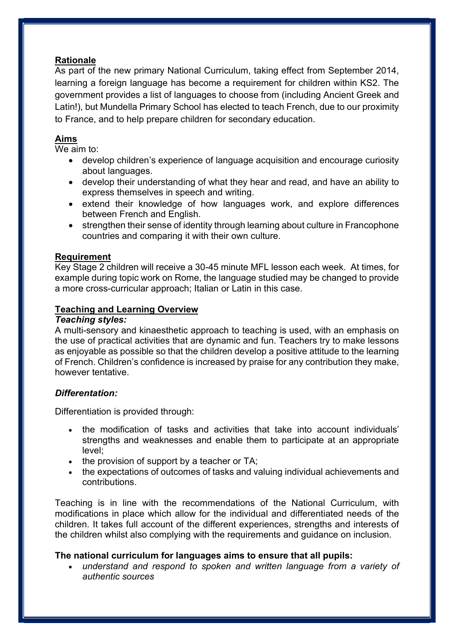## Rationale

As part of the new primary National Curriculum, taking effect from September 2014, learning a foreign language has become a requirement for children within KS2. The government provides a list of languages to choose from (including Ancient Greek and Latin!), but Mundella Primary School has elected to teach French, due to our proximity to France, and to help prepare children for secondary education.

## Aims

We aim to:

- develop children's experience of language acquisition and encourage curiosity about languages.
- develop their understanding of what they hear and read, and have an ability to express themselves in speech and writing.
- extend their knowledge of how languages work, and explore differences between French and English.
- strengthen their sense of identity through learning about culture in Francophone countries and comparing it with their own culture.

## **Requirement**

Key Stage 2 children will receive a 30-45 minute MFL lesson each week. At times, for example during topic work on Rome, the language studied may be changed to provide a more cross-curricular approach; Italian or Latin in this case.

## Teaching and Learning Overview

#### Teaching styles:

A multi-sensory and kinaesthetic approach to teaching is used, with an emphasis on the use of practical activities that are dynamic and fun. Teachers try to make lessons as enjoyable as possible so that the children develop a positive attitude to the learning of French. Children's confidence is increased by praise for any contribution they make, however tentative.

### Differentation:

Differentiation is provided through:

- the modification of tasks and activities that take into account individuals' strengths and weaknesses and enable them to participate at an appropriate level;
- $\bullet$  the provision of support by a teacher or TA;
- the expectations of outcomes of tasks and valuing individual achievements and contributions.

Teaching is in line with the recommendations of the National Curriculum, with modifications in place which allow for the individual and differentiated needs of the children. It takes full account of the different experiences, strengths and interests of the children whilst also complying with the requirements and guidance on inclusion.

## The national curriculum for languages aims to ensure that all pupils:

 understand and respond to spoken and written language from a variety of authentic sources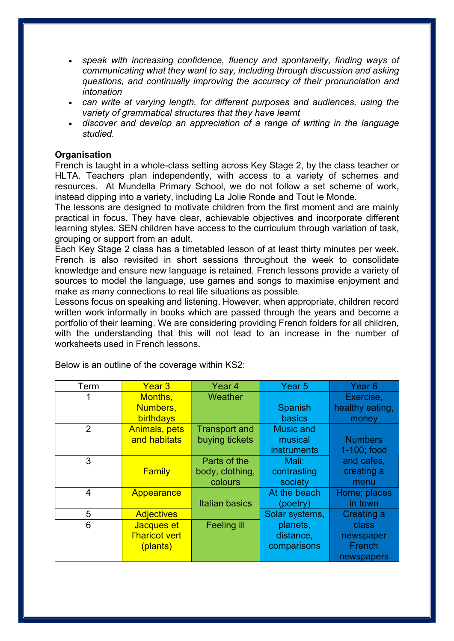- speak with increasing confidence, fluency and spontaneity, finding ways of communicating what they want to say, including through discussion and asking questions, and continually improving the accuracy of their pronunciation and intonation
- can write at varying length, for different purposes and audiences, using the variety of grammatical structures that they have learnt
- discover and develop an appreciation of a range of writing in the language studied.

#### **Organisation**

French is taught in a whole-class setting across Key Stage 2, by the class teacher or HLTA. Teachers plan independently, with access to a variety of schemes and resources. At Mundella Primary School, we do not follow a set scheme of work, instead dipping into a variety, including La Jolie Ronde and Tout le Monde.

The lessons are designed to motivate children from the first moment and are mainly practical in focus. They have clear, achievable objectives and incorporate different learning styles. SEN children have access to the curriculum through variation of task, grouping or support from an adult.

Each Key Stage 2 class has a timetabled lesson of at least thirty minutes per week. French is also revisited in short sessions throughout the week to consolidate knowledge and ensure new language is retained. French lessons provide a variety of sources to model the language, use games and songs to maximise enjoyment and make as many connections to real life situations as possible.

Lessons focus on speaking and listening. However, when appropriate, children record written work informally in books which are passed through the years and become a portfolio of their learning. We are considering providing French folders for all children, with the understanding that this will not lead to an increase in the number of worksheets used in French lessons.

| Term           | Year <sub>3</sub>    | Year 4                | Year <sub>5</sub>  | Year <sub>6</sub> |
|----------------|----------------------|-----------------------|--------------------|-------------------|
| 1              | Months,              | Weather               |                    | Exercise,         |
|                | Numbers,             |                       | <b>Spanish</b>     | healthy eating,   |
|                | birthdays            |                       | basics             | money             |
| 2              | <b>Animals, pets</b> | <b>Transport and</b>  | <b>Music and</b>   |                   |
|                | and habitats         | buying tickets        | musical            | <b>Numbers</b>    |
|                |                      |                       | <b>instruments</b> | 1-100; food       |
| 3              |                      | Parts of the          | Mali:              | and cafes,        |
|                | Family               | body, clothing,       | contrasting        | creating a        |
|                |                      | colours               | society            | menu              |
| $\overline{4}$ | Appearance           |                       | At the beach       | Home; places      |
|                |                      | <b>Italian basics</b> | (poetry)           | in town           |
| 5              | <b>Adjectives</b>    |                       | Solar systems,     | Creating a        |
| 6              | Jacques et           | <b>Feeling ill</b>    | planets,           | class             |
|                | l'haricot vert       |                       | distance,          | newspaper         |
|                | (plants)             |                       | comparisons        | French            |
|                |                      |                       |                    | newspapers        |

Below is an outline of the coverage within KS2: